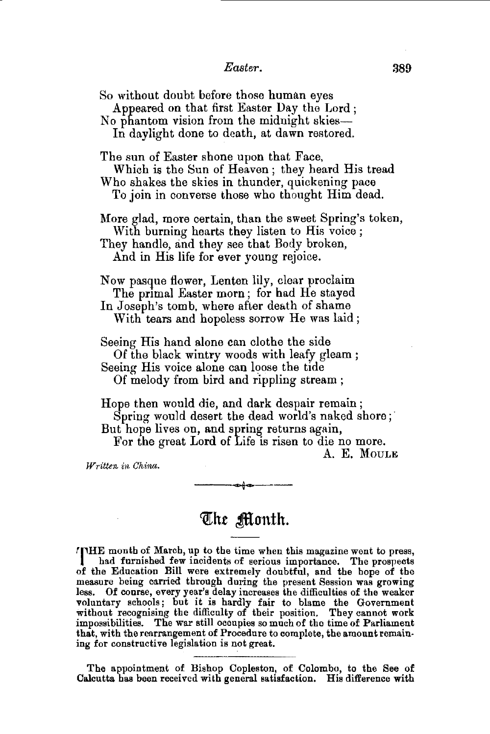## *Easter.*

So without doubt before those human eyes Appeared on that first Easter Day the Lord ; No phantom vision from the midnight skies-In daylight done to death, at dawn restored. The sun of Easter shone upon that Face, Which is the Sun of Heaven ; they heard His tread Who shakes the skies in thunder, quickening pace To join in converse those who thought Him dead. More glad, more certain, than the sweet Spring's token, With burning hearts they listen to His voice ; They handle, and they see that Body broken, And in His life for ever young rejoice. Now pasque flower, Lenten lily, clear proclaim The primal Easter morn; for had He stayed In Joseph's tomb, where after death of shame With tears and hopeless sorrow He was laid; Seeing His hand alone can clothe the side Of the black wintry woods with leafy gleam ; Seeing His voice alone can loose the tide Of melody from bird and rippling stream ; Hope then would die, and dark despair remain ; Spring would desert the dead world's naked shore; But hope lives on, and spring returns again, For the great Lord of Life is risen to die no more.

A. E. MouLE

*Written in China.* 

## The Month.

**THE** month of March, up to the time when this magazine went to press, I had furnished few incidents of serious importance. The prospects of the Education Bill were extremely doubtful, and the bope of the measure being carried through during the present Session was growing less. Of course, every year's delay increases the difficulties of the weaker voluntary schools; but it is hardly fair to blame the Government without recognising the difficulty of their position. They cannot work impossibilities. The war still occupies so much of tho time of Parliament that, with the rearrangement of Procedure to complete, the amount remaining for constructive legislation is not great.

The appointment of Bishop Copleston, of Colombo, to the See of Calcutta has been received with general satisfaction. His difference with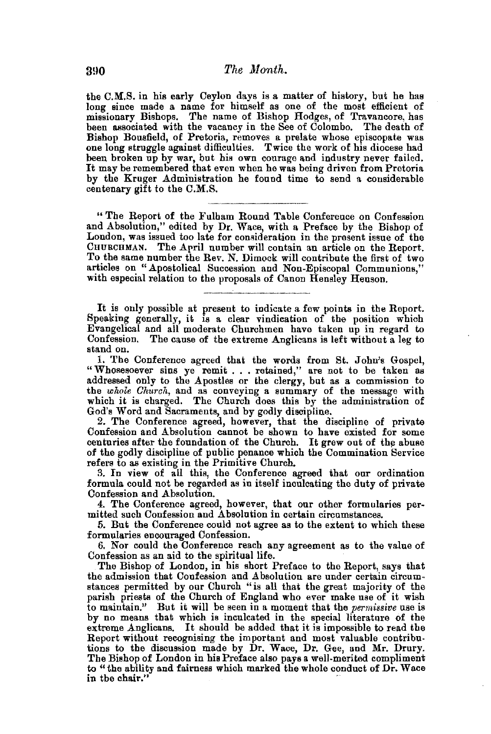the C.M.S. in his early Ceylon days is a matter of history, but he has long since made a name for himself as one of the most efficient of missionary Bishops. The name of Bishop Hodges, of Travancore, has been associated with the vacancy in the See of Colombo. The death of Bishop Bousfield, of Pretoria, removes a prelate whose episcopate was one long struggle against difficulties. Twice the work of his diocese had been broken up by war, but his own courage and industry never failed. It may be remembered that even when he was being driven from Pretoria by the Kruger Administration he found time to send a considerable centenary gift to the C.M.S.

" The Report of the Fulham Round Table Conference on Confession and Absolution," edited by Dr. Wace, with a Preface by the Bishop of London, was issued too late for consideration in the present issue of the CHURCHMAN. The April number will contain an article on the Report. To the same number the Rev. N. Dimock will contribute the first of two articles on "Apostolical Succession and Non-Episcopal Communions," with especial relation to the proposals of Canon Hensley Henson.

It is only possible at present to indicate a few points in the Report. Speaking generally, it is a clear vindication of the position which Evangelical and all moderate Churchmen have taken up in regard to Confession. The cause of the extreme Anglicans is left without a leg to stand on.

1. The Conference agreed that the words from St. John's Gospel, "Whosesoever sins ye remit ..• retained," are not to be taken as addressed only to the Apostles or the clergy, hut as a commission to the *whole Church,* and as conveying a summary of the message with which it is charged. The Church does this by the administration of God's Word and Sacraments, and by godly discipline.

2. The Conference agreed, however, that the discipline of private Confession and Absolution cannot be shown to have existed for some centuries after the foundation of the Church. It grew out of the abuse of the godly discipline of public penance which the Commination Service refers to as existing in the Primitive Church.

3. In view of all this, the Conference agreed that our ordination formula could not be regarded as in itself inculcating the duty of private Confession and Absolution.

4. The Conference agreed, however, that our other formularies permitted such Confession and Absolution in certain circumstances.

5. But the Conference could not agree as to the extent to which these formularies encouraged Confession.

6. Nor could the Conference reach any agreement as to the value of Confession as an aid to the spiritual life.

The Bishop of London, in his short Preface to the Report, says that the admission that Confession and Absolution are under certain circumstances permitted by our Church "is all that the great majority of the parish priests of the Church of England who ever make use of it wish to maintain." But it will be seen in a moment that the *permissive* use is by no means that which is inculcated in the special literature of the extreme Anglicans. It should be added that it is impossible to read the Report without recognising the important and most valuable contributions to the discussion made by Dr. Wace, Dr. Gee, and Mr. Drury. The Bishop of London in his Preface also pays a well-merited compliment to "the ability and fairness which marked the whole conduct of Dr. Wace in the chair."